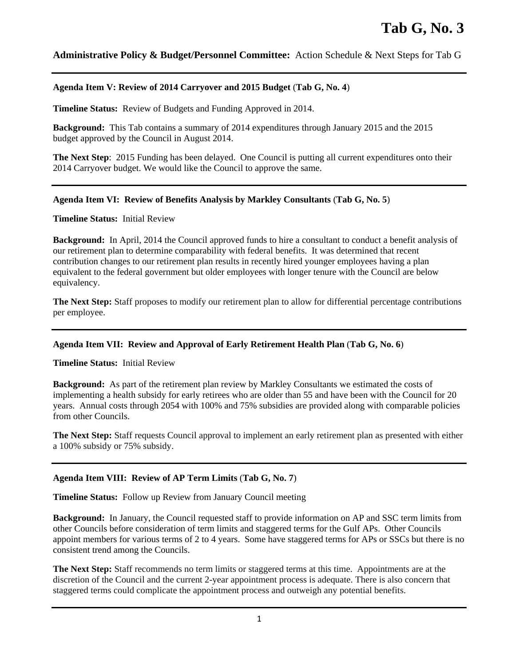# **Administrative Policy & Budget/Personnel Committee:** Action Schedule & Next Steps for Tab G

### **Agenda Item V: Review of 2014 Carryover and 2015 Budget** (**Tab G, No. 4**)

**Timeline Status:** Review of Budgets and Funding Approved in 2014.

**Background:** This Tab contains a summary of 2014 expenditures through January 2015 and the 2015 budget approved by the Council in August 2014.

**The Next Step**: 2015 Funding has been delayed. One Council is putting all current expenditures onto their 2014 Carryover budget. We would like the Council to approve the same.

#### **Agenda Item VI: Review of Benefits Analysis by Markley Consultants** (**Tab G, No. 5**)

**Timeline Status:** Initial Review

**Background:** In April, 2014 the Council approved funds to hire a consultant to conduct a benefit analysis of our retirement plan to determine comparability with federal benefits. It was determined that recent contribution changes to our retirement plan results in recently hired younger employees having a plan equivalent to the federal government but older employees with longer tenure with the Council are below equivalency.

**The Next Step:** Staff proposes to modify our retirement plan to allow for differential percentage contributions per employee.

# **Agenda Item VII: Review and Approval of Early Retirement Health Plan** (**Tab G, No. 6**)

**Timeline Status:** Initial Review

**Background:** As part of the retirement plan review by Markley Consultants we estimated the costs of implementing a health subsidy for early retirees who are older than 55 and have been with the Council for 20 years. Annual costs through 2054 with 100% and 75% subsidies are provided along with comparable policies from other Councils.

**The Next Step:** Staff requests Council approval to implement an early retirement plan as presented with either a 100% subsidy or 75% subsidy.

# **Agenda Item VIII: Review of AP Term Limits** (**Tab G, No. 7**)

**Timeline Status:** Follow up Review from January Council meeting

**Background:** In January, the Council requested staff to provide information on AP and SSC term limits from other Councils before consideration of term limits and staggered terms for the Gulf APs. Other Councils appoint members for various terms of 2 to 4 years. Some have staggered terms for APs or SSCs but there is no consistent trend among the Councils.

**The Next Step:** Staff recommends no term limits or staggered terms at this time. Appointments are at the discretion of the Council and the current 2-year appointment process is adequate. There is also concern that staggered terms could complicate the appointment process and outweigh any potential benefits.